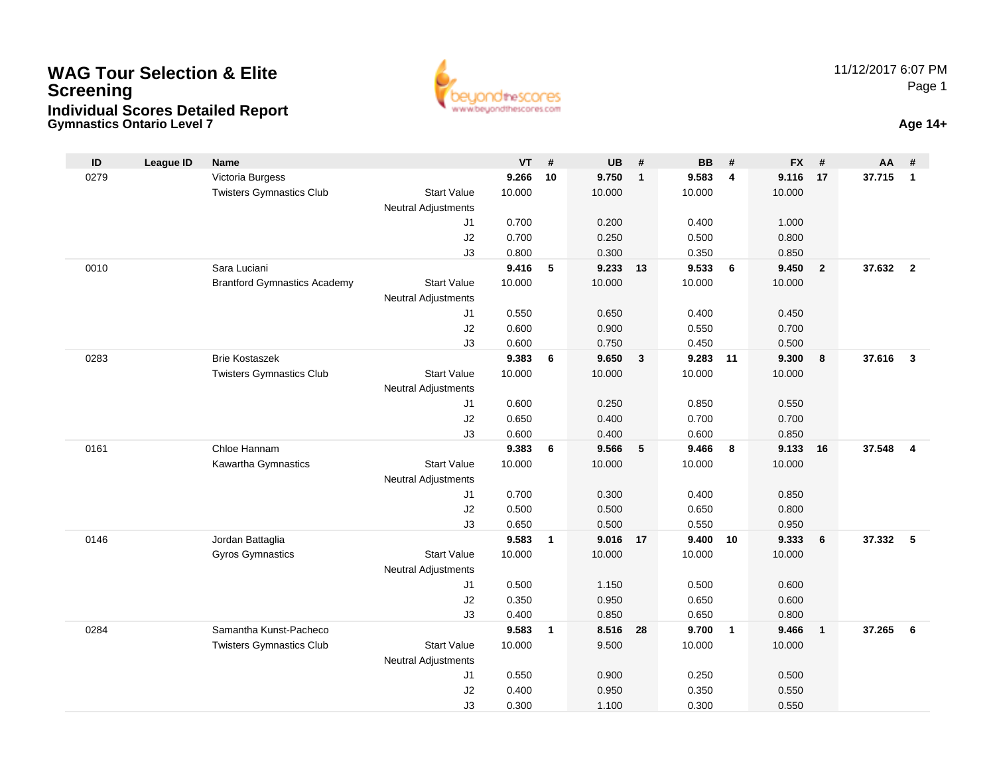#### **Gymnastics Ontario Level 7 Age 14+WAG Tour Selection & EliteScreeningIndividual Scores Detailed Report**





| ID   | <b>League ID</b> | <b>Name</b>                         |                            | <b>VT</b>       | #            | UB.             | #            | <b>BB</b>       | #            | <b>FX</b>       | #                       | AA     | #              |
|------|------------------|-------------------------------------|----------------------------|-----------------|--------------|-----------------|--------------|-----------------|--------------|-----------------|-------------------------|--------|----------------|
| 0279 |                  | Victoria Burgess                    |                            | 9.266           | 10           | 9.750           | $\mathbf{1}$ | 9.583           | 4            | 9.116           | 17                      | 37.715 | $\overline{1}$ |
|      |                  | <b>Twisters Gymnastics Club</b>     | <b>Start Value</b>         | 10.000          |              | 10.000          |              | 10.000          |              | 10.000          |                         |        |                |
|      |                  |                                     | <b>Neutral Adjustments</b> |                 |              |                 |              |                 |              |                 |                         |        |                |
|      |                  |                                     | J1                         | 0.700           |              | 0.200           |              | 0.400           |              | 1.000           |                         |        |                |
|      |                  |                                     | J2                         | 0.700           |              | 0.250           |              | 0.500           |              | 0.800           |                         |        |                |
|      |                  |                                     | J3                         | 0.800           |              | 0.300           |              | 0.350           |              | 0.850           |                         |        |                |
| 0010 |                  | Sara Luciani                        |                            | 9.416           | 5            | 9.233           | 13           | 9.533           | 6            | 9.450           | $\overline{2}$          | 37.632 | $\overline{2}$ |
|      |                  | <b>Brantford Gymnastics Academy</b> | <b>Start Value</b>         | 10.000          |              | 10.000          |              | 10.000          |              | 10.000          |                         |        |                |
|      |                  |                                     | <b>Neutral Adjustments</b> |                 |              |                 |              |                 |              |                 |                         |        |                |
|      |                  |                                     | J <sub>1</sub>             | 0.550           |              | 0.650           |              | 0.400           |              | 0.450           |                         |        |                |
|      |                  |                                     | J2                         | 0.600           |              | 0.900           |              | 0.550           |              | 0.700           |                         |        |                |
|      |                  | <b>Brie Kostaszek</b>               | J3                         | 0.600           |              | 0.750           |              | 0.450           |              | 0.500           |                         | 37.616 | $\mathbf{3}$   |
| 0283 |                  | <b>Twisters Gymnastics Club</b>     | <b>Start Value</b>         | 9.383<br>10.000 | 6            | 9.650<br>10.000 | 3            | 9.283<br>10.000 | 11           | 9.300<br>10.000 | $\boldsymbol{8}$        |        |                |
|      |                  |                                     | <b>Neutral Adjustments</b> |                 |              |                 |              |                 |              |                 |                         |        |                |
|      |                  |                                     | J <sub>1</sub>             | 0.600           |              | 0.250           |              | 0.850           |              | 0.550           |                         |        |                |
|      |                  |                                     | J2                         | 0.650           |              | 0.400           |              | 0.700           |              | 0.700           |                         |        |                |
|      |                  |                                     | J3                         | 0.600           |              | 0.400           |              | 0.600           |              | 0.850           |                         |        |                |
| 0161 |                  | Chloe Hannam                        |                            | 9.383           | 6            | 9.566           | 5            | 9.466           | 8            | 9.133           | 16                      | 37.548 | $\overline{4}$ |
|      |                  | Kawartha Gymnastics                 | <b>Start Value</b>         | 10.000          |              | 10.000          |              | 10.000          |              | 10.000          |                         |        |                |
|      |                  |                                     | <b>Neutral Adjustments</b> |                 |              |                 |              |                 |              |                 |                         |        |                |
|      |                  |                                     | J <sub>1</sub>             | 0.700           |              | 0.300           |              | 0.400           |              | 0.850           |                         |        |                |
|      |                  |                                     | J2                         | 0.500           |              | 0.500           |              | 0.650           |              | 0.800           |                         |        |                |
|      |                  |                                     | J3                         | 0.650           |              | 0.500           |              | 0.550           |              | 0.950           |                         |        |                |
| 0146 |                  | Jordan Battaglia                    |                            | 9.583           | $\mathbf{1}$ | 9.016           | 17           | 9.400           | 10           | 9.333           | 6                       | 37.332 | - 5            |
|      |                  | Gyros Gymnastics                    | <b>Start Value</b>         | 10.000          |              | 10.000          |              | 10.000          |              | 10.000          |                         |        |                |
|      |                  |                                     | <b>Neutral Adjustments</b> |                 |              |                 |              |                 |              |                 |                         |        |                |
|      |                  |                                     | J <sub>1</sub>             | 0.500           |              | 1.150           |              | 0.500           |              | 0.600           |                         |        |                |
|      |                  |                                     | J2                         | 0.350           |              | 0.950           |              | 0.650           |              | 0.600           |                         |        |                |
|      |                  |                                     | J3                         | 0.400           |              | 0.850           |              | 0.650           |              | 0.800           |                         |        |                |
| 0284 |                  | Samantha Kunst-Pacheco              |                            | 9.583           | $\mathbf{1}$ | 8.516           | 28           | 9.700           | $\mathbf{1}$ | 9.466           | $\overline{\mathbf{1}}$ | 37.265 | - 6            |
|      |                  | <b>Twisters Gymnastics Club</b>     | <b>Start Value</b>         | 10.000          |              | 9.500           |              | 10.000          |              | 10.000          |                         |        |                |
|      |                  |                                     | Neutral Adjustments        |                 |              |                 |              |                 |              |                 |                         |        |                |
|      |                  |                                     | J <sub>1</sub>             | 0.550           |              | 0.900           |              | 0.250           |              | 0.500           |                         |        |                |
|      |                  |                                     | J2                         | 0.400           |              | 0.950           |              | 0.350           |              | 0.550           |                         |        |                |
|      |                  |                                     | J3                         | 0.300           |              | 1.100           |              | 0.300           |              | 0.550           |                         |        |                |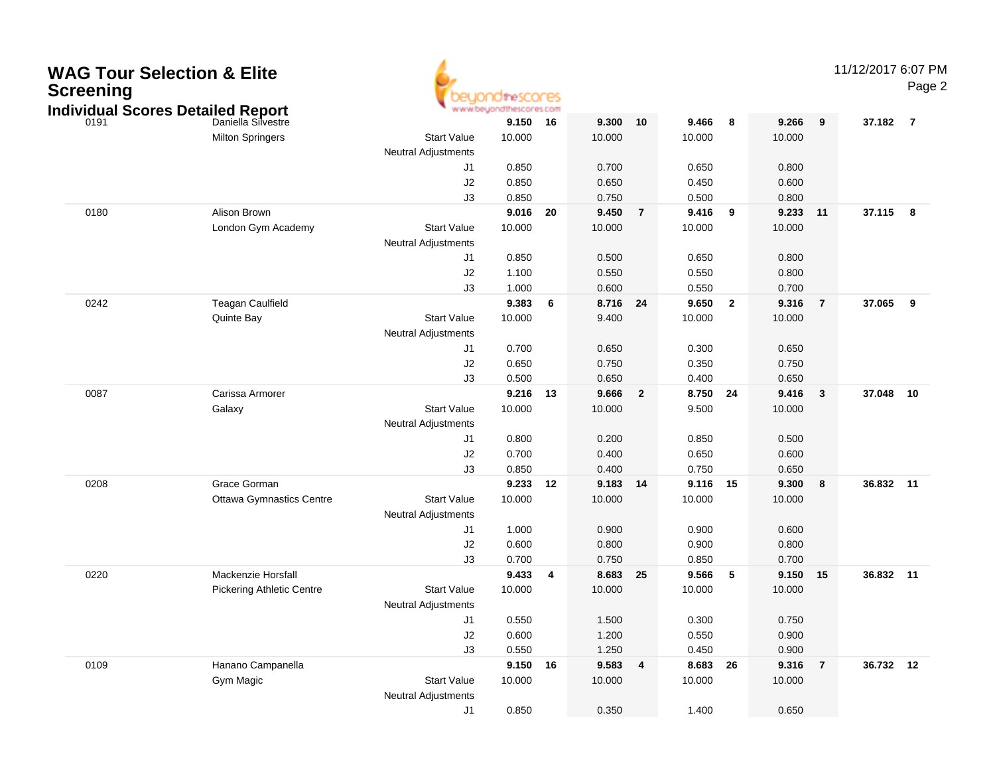| <b>WAG Tour Selection &amp; Elite</b><br><b>Screening</b> | <b>Individual Scores Detailed Report</b> |                            | idtheSCONES<br>www.beyondthescores.com |      |        |                |          |                         |         |                | 11/12/2017 6:07 PM | Page 2         |
|-----------------------------------------------------------|------------------------------------------|----------------------------|----------------------------------------|------|--------|----------------|----------|-------------------------|---------|----------------|--------------------|----------------|
| 0191                                                      | Daniella Silvestre                       |                            | 9.150                                  | 16   | 9.300  | 10             | 9.466    | 8                       | 9.266   | 9              | 37.182             | $\overline{7}$ |
|                                                           | <b>Milton Springers</b>                  | <b>Start Value</b>         | 10.000                                 |      | 10.000 |                | 10.000   |                         | 10.000  |                |                    |                |
|                                                           |                                          | <b>Neutral Adjustments</b> |                                        |      |        |                |          |                         |         |                |                    |                |
|                                                           |                                          | J1                         | 0.850                                  |      | 0.700  |                | 0.650    |                         | 0.800   |                |                    |                |
|                                                           |                                          | J2                         | 0.850                                  |      | 0.650  |                | 0.450    |                         | 0.600   |                |                    |                |
|                                                           |                                          | J3                         | 0.850                                  |      | 0.750  |                | 0.500    |                         | 0.800   |                |                    |                |
| 0180                                                      | Alison Brown                             |                            | 9.016                                  | - 20 | 9.450  | $\overline{7}$ | 9.416    | 9                       | 9.233   | 11             | 37.115             | 8              |
|                                                           | London Gym Academy                       | <b>Start Value</b>         | 10.000                                 |      | 10.000 |                | 10.000   |                         | 10.000  |                |                    |                |
|                                                           |                                          | <b>Neutral Adjustments</b> |                                        |      |        |                |          |                         |         |                |                    |                |
|                                                           |                                          | J1                         | 0.850                                  |      | 0.500  |                | 0.650    |                         | 0.800   |                |                    |                |
|                                                           |                                          | J2                         | 1.100                                  |      | 0.550  |                | 0.550    |                         | 0.800   |                |                    |                |
|                                                           |                                          | J3                         | 1.000                                  |      | 0.600  |                | 0.550    |                         | 0.700   |                |                    |                |
| 0242                                                      | <b>Teagan Caulfield</b>                  |                            | 9.383                                  | 6    | 8.716  | 24             | 9.650    | $\overline{\mathbf{2}}$ | 9.316   | $\overline{7}$ | 37.065             | 9              |
|                                                           | Quinte Bay                               | <b>Start Value</b>         | 10.000                                 |      | 9.400  |                | 10.000   |                         | 10.000  |                |                    |                |
|                                                           |                                          | <b>Neutral Adjustments</b> |                                        |      |        |                |          |                         |         |                |                    |                |
|                                                           |                                          | J1                         | 0.700                                  |      | 0.650  |                | 0.300    |                         | 0.650   |                |                    |                |
|                                                           |                                          | J2                         | 0.650                                  |      | 0.750  |                | 0.350    |                         | 0.750   |                |                    |                |
|                                                           |                                          | J3                         | 0.500                                  |      | 0.650  |                | 0.400    |                         | 0.650   |                |                    |                |
| 0087                                                      | Carissa Armorer                          |                            | 9.216                                  | 13   | 9.666  | $\overline{2}$ | 8.750    | 24                      | 9.416   | $\mathbf{3}$   | 37.048             | 10             |
|                                                           | Galaxy                                   | <b>Start Value</b>         | 10.000                                 |      | 10.000 |                | 9.500    |                         | 10.000  |                |                    |                |
|                                                           |                                          | <b>Neutral Adjustments</b> |                                        |      |        |                |          |                         |         |                |                    |                |
|                                                           |                                          | J1                         | 0.800                                  |      | 0.200  |                | 0.850    |                         | 0.500   |                |                    |                |
|                                                           |                                          | J2                         | 0.700                                  |      | 0.400  |                | 0.650    |                         | 0.600   |                |                    |                |
|                                                           |                                          | J3                         | 0.850                                  |      | 0.400  |                | 0.750    |                         | 0.650   |                |                    |                |
| 0208                                                      | Grace Gorman                             |                            | 9.233                                  | 12   | 9.183  | 14             | 9.116    | 15                      | 9.300   | 8              | 36.832 11          |                |
|                                                           | <b>Ottawa Gymnastics Centre</b>          | <b>Start Value</b>         | 10.000                                 |      | 10.000 |                | 10.000   |                         | 10.000  |                |                    |                |
|                                                           |                                          | <b>Neutral Adjustments</b> |                                        |      |        |                |          |                         |         |                |                    |                |
|                                                           |                                          | J1                         | 1.000                                  |      | 0.900  |                | 0.900    |                         | 0.600   |                |                    |                |
|                                                           |                                          | J2                         | 0.600                                  |      | 0.800  |                | 0.900    |                         | 0.800   |                |                    |                |
|                                                           |                                          | J3                         | 0.700                                  |      | 0.750  |                | 0.850    |                         | 0.700   |                |                    |                |
| 0220                                                      | Mackenzie Horsfall                       |                            | 9.433                                  | 4    | 8.683  | 25             | 9.566    | -5                      | 9.150   | 15             | 36.832 11          |                |
|                                                           | <b>Pickering Athletic Centre</b>         | <b>Start Value</b>         | 10.000                                 |      | 10.000 |                | 10.000   |                         | 10.000  |                |                    |                |
|                                                           |                                          | <b>Neutral Adjustments</b> |                                        |      |        |                |          |                         |         |                |                    |                |
|                                                           |                                          |                            | 0.550                                  |      | 1.500  |                | 0.300    |                         | 0.750   |                |                    |                |
|                                                           |                                          | J2                         | 0.600                                  |      | 1.200  |                | 0.550    |                         | 0.900   |                |                    |                |
|                                                           |                                          | J3                         | 0.550                                  |      | 1.250  |                | 0.450    |                         | 0.900   |                |                    |                |
| 0109                                                      | Hanano Campanella                        |                            | 9.150 16                               |      | 9.583  | 4              | 8.683 26 |                         | 9.316 7 |                | 36.732 12          |                |
|                                                           | Gym Magic                                | <b>Start Value</b>         | 10.000                                 |      | 10.000 |                | 10.000   |                         | 10.000  |                |                    |                |
|                                                           |                                          | <b>Neutral Adjustments</b> |                                        |      |        |                |          |                         |         |                |                    |                |
|                                                           |                                          | J1                         | 0.850                                  |      | 0.350  |                | 1.400    |                         | 0.650   |                |                    |                |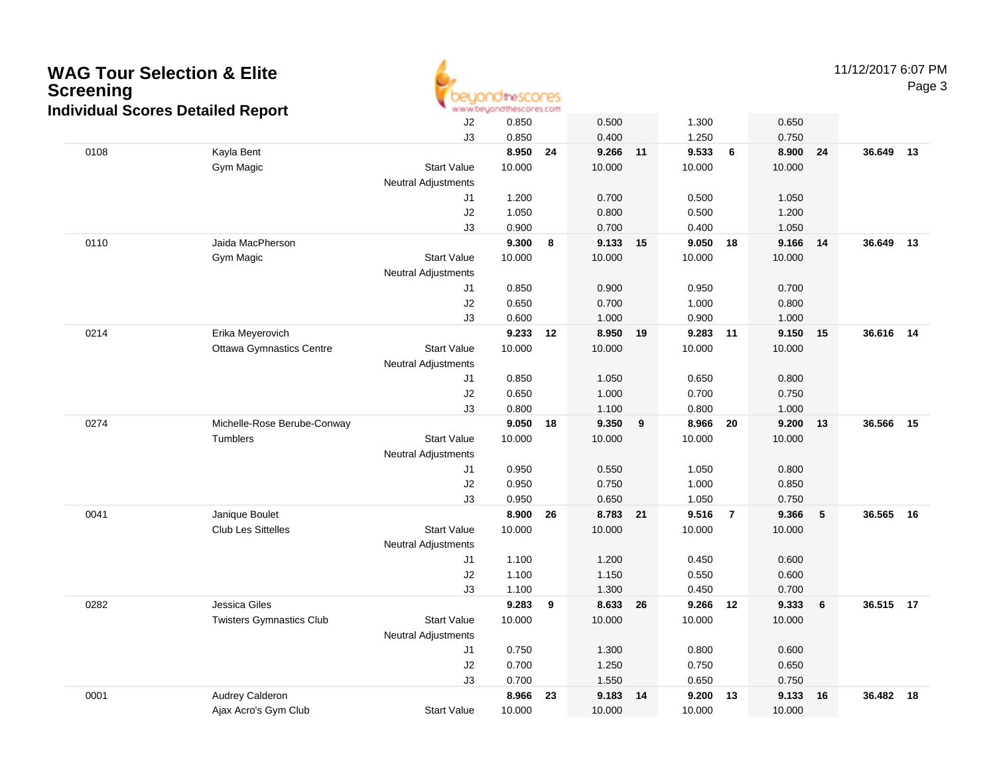

11/12/2017 6:07 PM

Page 3

|      | aar 000.00 Dolanoa Roport       | J2                         | 0.850          |    | 0.500          |       | 1.300          |                | 0.650          |                 |           |    |
|------|---------------------------------|----------------------------|----------------|----|----------------|-------|----------------|----------------|----------------|-----------------|-----------|----|
|      |                                 | J3                         | 0.850          |    | 0.400          |       | 1.250          |                | 0.750          |                 |           |    |
| 0108 | Kayla Bent                      |                            | 8.950          | 24 | 9.266          | 11    | 9.533          | $6\phantom{a}$ | 8.900          | 24              | 36.649    | 13 |
|      | Gym Magic                       | <b>Start Value</b>         | 10.000         |    | 10.000         |       | 10.000         |                | 10.000         |                 |           |    |
|      |                                 | <b>Neutral Adjustments</b> |                |    |                |       |                |                |                |                 |           |    |
|      |                                 | J1                         | 1.200          |    | 0.700          |       | 0.500          |                | 1.050          |                 |           |    |
|      |                                 | J2                         | 1.050          |    | 0.800          |       | 0.500          |                | 1.200          |                 |           |    |
|      |                                 | J3                         | 0.900          |    | 0.700          |       | 0.400          |                | 1.050          |                 |           |    |
| 0110 | Jaida MacPherson                |                            | 9.300          | 8  | 9.133          | $-15$ | 9.050          | 18             | 9.166          | 14              | 36.649    | 13 |
|      | Gym Magic                       | <b>Start Value</b>         | 10.000         |    | 10.000         |       | 10.000         |                | 10.000         |                 |           |    |
|      |                                 | <b>Neutral Adjustments</b> |                |    |                |       |                |                |                |                 |           |    |
|      |                                 | J1                         | 0.850          |    | 0.900          |       | 0.950          |                | 0.700          |                 |           |    |
|      |                                 | J2                         | 0.650          |    | 0.700          |       | 1.000<br>0.900 |                | 0.800          |                 |           |    |
| 0214 | Erika Meyerovich                | J3                         | 0.600<br>9.233 | 12 | 1.000<br>8.950 | 19    | 9.283          | 11             | 1.000<br>9.150 | 15              | 36.616 14 |    |
|      | <b>Ottawa Gymnastics Centre</b> | <b>Start Value</b>         | 10.000         |    | 10.000         |       | 10.000         |                | 10.000         |                 |           |    |
|      |                                 | <b>Neutral Adjustments</b> |                |    |                |       |                |                |                |                 |           |    |
|      |                                 | J1                         | 0.850          |    | 1.050          |       | 0.650          |                | 0.800          |                 |           |    |
|      |                                 | J2                         | 0.650          |    | 1.000          |       | 0.700          |                | 0.750          |                 |           |    |
|      |                                 | J3                         | 0.800          |    | 1.100          |       | 0.800          |                | 1.000          |                 |           |    |
| 0274 | Michelle-Rose Berube-Conway     |                            | 9.050          | 18 | 9.350          | 9     | 8.966          | 20             | 9.200          | 13              | 36.566    | 15 |
|      | Tumblers                        | <b>Start Value</b>         | 10.000         |    | 10.000         |       | 10.000         |                | 10.000         |                 |           |    |
|      |                                 | <b>Neutral Adjustments</b> |                |    |                |       |                |                |                |                 |           |    |
|      |                                 | J1                         | 0.950          |    | 0.550          |       | 1.050          |                | 0.800          |                 |           |    |
|      |                                 | J2                         | 0.950          |    | 0.750          |       | 1.000          |                | 0.850          |                 |           |    |
|      |                                 | J3                         | 0.950          |    | 0.650          |       | 1.050          |                | 0.750          |                 |           |    |
| 0041 | Janique Boulet                  |                            | 8.900          | 26 | 8.783 21       |       | 9.516          | $\overline{7}$ | 9.366          | ${\bf 5}$       | 36.565    | 16 |
|      | <b>Club Les Sittelles</b>       | <b>Start Value</b>         | 10.000         |    | 10.000         |       | 10.000         |                | 10.000         |                 |           |    |
|      |                                 | <b>Neutral Adjustments</b> |                |    |                |       |                |                |                |                 |           |    |
|      |                                 | J1                         | 1.100          |    | 1.200          |       | 0.450          |                | 0.600          |                 |           |    |
|      |                                 | J2                         | 1.100          |    | 1.150          |       | 0.550          |                | 0.600          |                 |           |    |
|      |                                 | J3                         | 1.100          |    | 1.300          |       | 0.450          |                | 0.700          |                 |           |    |
| 0282 | Jessica Giles                   |                            | 9.283          | 9  | 8.633          | 26    | 9.266          | 12             | 9.333          | $6\phantom{1}6$ | 36.515 17 |    |
|      | <b>Twisters Gymnastics Club</b> | <b>Start Value</b>         | 10.000         |    | 10.000         |       | 10.000         |                | 10.000         |                 |           |    |
|      |                                 | <b>Neutral Adjustments</b> |                |    |                |       |                |                |                |                 |           |    |
|      |                                 | J1                         | 0.750          |    | 1.300          |       | 0.800          |                | 0.600          |                 |           |    |
|      |                                 | J2                         | 0.700          |    | 1.250          |       | 0.750          |                | 0.650          |                 |           |    |
|      |                                 | J3                         | 0.700          |    | 1.550          |       | 0.650          |                | 0.750          |                 |           |    |
| 0001 | Audrey Calderon                 |                            | 8.966          | 23 | 9.183          | 14    | 9.200          | 13             | 9.133          | 16              | 36.482    | 18 |
|      | Ajax Acro's Gym Club            | <b>Start Value</b>         | 10.000         |    | 10.000         |       | 10.000         |                | 10.000         |                 |           |    |
|      |                                 |                            |                |    |                |       |                |                |                |                 |           |    |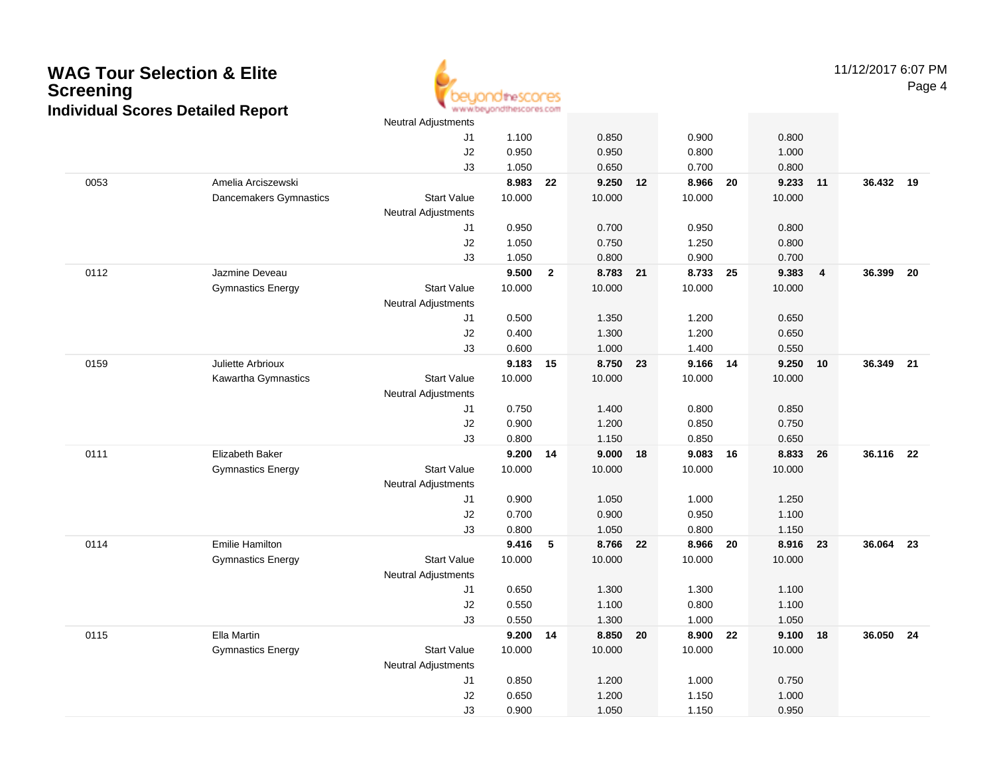

11/12/2017 6:07 PMPage 4

|      |                          | <b>Neutral Adjustments</b> |                |                |                |      |                |      |                |                |           |    |
|------|--------------------------|----------------------------|----------------|----------------|----------------|------|----------------|------|----------------|----------------|-----------|----|
|      |                          | J1                         | 1.100          |                | 0.850          |      | 0.900          |      | 0.800          |                |           |    |
|      |                          | J2                         | 0.950          |                | 0.950          |      | 0.800          |      | 1.000          |                |           |    |
|      |                          | J3                         | 1.050          |                | 0.650          |      | 0.700          |      | 0.800          |                |           |    |
| 0053 | Amelia Arciszewski       |                            | 8.983          | 22             | 9.250 12       |      | 8.966          | - 20 | 9.233          | 11             | 36.432 19 |    |
|      | Dancemakers Gymnastics   | <b>Start Value</b>         | 10.000         |                | 10.000         |      | 10.000         |      | 10.000         |                |           |    |
|      |                          | <b>Neutral Adjustments</b> |                |                |                |      |                |      |                |                |           |    |
|      |                          | J1                         | 0.950          |                | 0.700          |      | 0.950          |      | 0.800          |                |           |    |
|      |                          | J2                         | 1.050          |                | 0.750          |      | 1.250          |      | 0.800          |                |           |    |
|      |                          | J3                         | 1.050          |                | 0.800          |      | 0.900          |      | 0.700          |                |           |    |
| 0112 | Jazmine Deveau           |                            | 9.500          | $\overline{2}$ | 8.783 21       |      | 8.733 25       |      | 9.383          | $\overline{4}$ | 36.399    | 20 |
|      | <b>Gymnastics Energy</b> | <b>Start Value</b>         | 10.000         |                | 10.000         |      | 10.000         |      | 10.000         |                |           |    |
|      |                          | <b>Neutral Adjustments</b> |                |                |                |      |                |      |                |                |           |    |
|      |                          | J1                         | 0.500          |                | 1.350          |      | 1.200          |      | 0.650          |                |           |    |
|      |                          | J2                         | 0.400          |                | 1.300          |      | 1.200          |      | 0.650          |                |           |    |
|      |                          | J3                         | 0.600          |                | 1.000          |      | 1.400          |      | 0.550          |                |           |    |
| 0159 | Juliette Arbrioux        |                            | 9.183          | 15             | 8.750          | 23   | 9.166          | 14   | 9.250          | 10             | 36.349    | 21 |
|      | Kawartha Gymnastics      | <b>Start Value</b>         | 10.000         |                | 10.000         |      | 10.000         |      | 10.000         |                |           |    |
|      |                          | <b>Neutral Adjustments</b> |                |                |                |      |                |      |                |                |           |    |
|      |                          | J1                         | 0.750          |                | 1.400          |      | 0.800          |      | 0.850          |                |           |    |
|      |                          | J2                         | 0.900          |                | 1.200          |      | 0.850          |      | 0.750          |                |           |    |
|      |                          | J3                         | 0.800          |                | 1.150          |      | 0.850          |      | 0.650          |                |           |    |
| 0111 | Elizabeth Baker          |                            | 9.200          | 14             | 9.000          | 18   | 9.083          | 16   | 8.833          | 26             | 36.116    | 22 |
|      | <b>Gymnastics Energy</b> | <b>Start Value</b>         | 10.000         |                | 10.000         |      | 10.000         |      | 10.000         |                |           |    |
|      |                          | <b>Neutral Adjustments</b> |                |                |                |      |                |      |                |                |           |    |
|      |                          | J1                         | 0.900          |                | 1.050          |      | 1.000          |      | 1.250          |                |           |    |
|      |                          | $\sf J2$                   | 0.700          |                | 0.900          |      | 0.950          |      | 1.100          |                |           |    |
|      |                          | J3                         | 0.800          |                | 1.050          |      | 0.800          |      | 1.150          |                |           |    |
| 0114 | <b>Emilie Hamilton</b>   |                            | 9.416          | 5              | 8.766 22       |      | 8.966 20       |      | 8.916          | 23             | 36.064    | 23 |
|      | <b>Gymnastics Energy</b> | <b>Start Value</b>         | 10.000         |                | 10.000         |      | 10.000         |      | 10.000         |                |           |    |
|      |                          | <b>Neutral Adjustments</b> |                |                |                |      |                |      |                |                |           |    |
|      |                          | J1                         | 0.650          |                | 1.300          |      | 1.300          |      | 1.100          |                |           |    |
|      |                          | J2                         | 0.550<br>0.550 |                | 1.100<br>1.300 |      | 0.800<br>1.000 |      | 1.100<br>1.050 |                |           |    |
| 0115 | Ella Martin              | J3                         | 9.200 14       |                | 8.850          | - 20 | 8.900 22       |      | 9.100          | 18             | 36.050 24 |    |
|      | <b>Gymnastics Energy</b> | <b>Start Value</b>         | 10.000         |                | 10.000         |      | 10.000         |      | 10.000         |                |           |    |
|      |                          | <b>Neutral Adjustments</b> |                |                |                |      |                |      |                |                |           |    |
|      |                          | J1                         | 0.850          |                | 1.200          |      | 1.000          |      | 0.750          |                |           |    |
|      |                          | J2                         | 0.650          |                | 1.200          |      | 1.150          |      | 1.000          |                |           |    |
|      |                          | J3                         | 0.900          |                | 1.050          |      | 1.150          |      | 0.950          |                |           |    |
|      |                          |                            |                |                |                |      |                |      |                |                |           |    |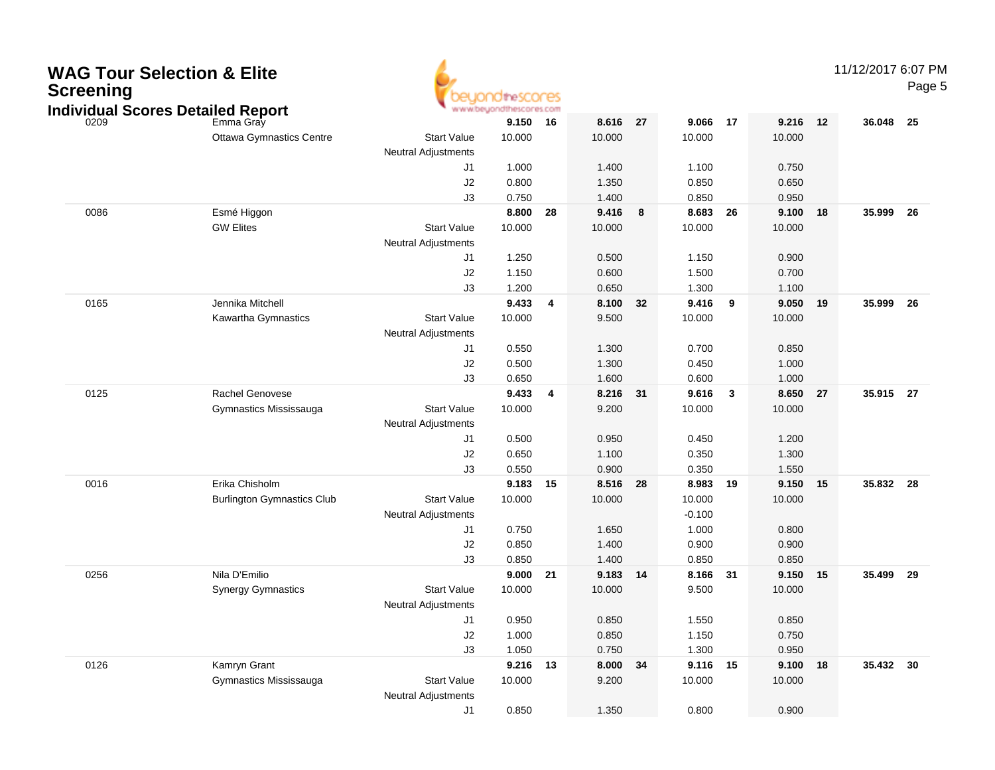| <b>WAG Tour Selection &amp; Elite</b><br><b>Screening</b> | <b>Individual Scores Detailed Report</b> |                            | theSCOCES<br>www.beyondthescores.com |                         |          |      |          |              |            |    | 11/12/2017 6:07 PM | Page 5 |
|-----------------------------------------------------------|------------------------------------------|----------------------------|--------------------------------------|-------------------------|----------|------|----------|--------------|------------|----|--------------------|--------|
| 0209                                                      | Emma Gray                                |                            | 9.150                                | 16                      | 8.616    | 27   | 9.066    | 17           | 9.216      | 12 | 36.048             | 25     |
|                                                           | <b>Ottawa Gymnastics Centre</b>          | <b>Start Value</b>         | 10.000                               |                         | 10.000   |      | 10.000   |              | 10.000     |    |                    |        |
|                                                           |                                          | <b>Neutral Adjustments</b> |                                      |                         |          |      |          |              |            |    |                    |        |
|                                                           |                                          | J1                         | 1.000                                |                         | 1.400    |      | 1.100    |              | 0.750      |    |                    |        |
|                                                           |                                          | J2                         | 0.800                                |                         | 1.350    |      | 0.850    |              | 0.650      |    |                    |        |
|                                                           |                                          | J3                         | 0.750                                |                         | 1.400    |      | 0.850    |              | 0.950      |    |                    |        |
| 0086                                                      | Esmé Higgon                              |                            | 8.800                                | 28                      | 9.416    | 8    | 8.683    | 26           | 9.100      | 18 | 35.999             | 26     |
|                                                           | <b>GW Elites</b>                         | <b>Start Value</b>         | 10.000                               |                         | 10.000   |      | 10.000   |              | 10.000     |    |                    |        |
|                                                           |                                          | <b>Neutral Adjustments</b> |                                      |                         |          |      |          |              |            |    |                    |        |
|                                                           |                                          | J1                         | 1.250                                |                         | 0.500    |      | 1.150    |              | 0.900      |    |                    |        |
|                                                           |                                          | J2                         | 1.150                                |                         | 0.600    |      | 1.500    |              | 0.700      |    |                    |        |
|                                                           |                                          | J3                         | 1.200                                |                         | 0.650    |      | 1.300    |              | 1.100      |    |                    |        |
| 0165                                                      | Jennika Mitchell                         |                            | 9.433                                | $\overline{\mathbf{4}}$ | 8.100    | 32   | 9.416    | 9            | 9.050      | 19 | 35.999             | 26     |
|                                                           | Kawartha Gymnastics                      | <b>Start Value</b>         | 10.000                               |                         | 9.500    |      | 10.000   |              | 10.000     |    |                    |        |
|                                                           |                                          | <b>Neutral Adjustments</b> |                                      |                         |          |      |          |              |            |    |                    |        |
|                                                           |                                          | J1                         | 0.550                                |                         | 1.300    |      | 0.700    |              | 0.850      |    |                    |        |
|                                                           |                                          | J <sub>2</sub>             | 0.500                                |                         | 1.300    |      | 0.450    |              | 1.000      |    |                    |        |
|                                                           |                                          | J3                         | 0.650                                |                         | 1.600    |      | 0.600    |              | 1.000      |    |                    |        |
| 0125                                                      | Rachel Genovese                          |                            | 9.433                                | $\overline{\mathbf{4}}$ | 8.216    | - 31 | 9.616    | $\mathbf{3}$ | 8.650      | 27 | 35.915 27          |        |
|                                                           | Gymnastics Mississauga                   | <b>Start Value</b>         | 10.000                               |                         | 9.200    |      | 10.000   |              | 10.000     |    |                    |        |
|                                                           |                                          | <b>Neutral Adjustments</b> |                                      |                         |          |      |          |              |            |    |                    |        |
|                                                           |                                          | J1                         | 0.500                                |                         | 0.950    |      | 0.450    |              | 1.200      |    |                    |        |
|                                                           |                                          | J <sub>2</sub>             | 0.650                                |                         | 1.100    |      | 0.350    |              | 1.300      |    |                    |        |
|                                                           |                                          | J3                         | 0.550                                |                         | 0.900    |      | 0.350    |              | 1.550      |    |                    |        |
| 0016                                                      | Erika Chisholm                           |                            | 9.183                                | 15                      | 8.516    | 28   | 8.983    | 19           | 9.150      | 15 | 35.832 28          |        |
|                                                           | <b>Burlington Gymnastics Club</b>        | <b>Start Value</b>         | 10.000                               |                         | 10.000   |      | 10.000   |              | 10.000     |    |                    |        |
|                                                           |                                          | <b>Neutral Adjustments</b> |                                      |                         |          |      | $-0.100$ |              |            |    |                    |        |
|                                                           |                                          | J1                         | 0.750                                |                         | 1.650    |      | 1.000    |              | 0.800      |    |                    |        |
|                                                           |                                          | J <sub>2</sub>             | 0.850                                |                         | 1.400    |      | 0.900    |              | 0.900      |    |                    |        |
|                                                           |                                          | J3                         | 0.850                                |                         | 1.400    |      | 0.850    |              | 0.850      |    |                    |        |
| 0256                                                      | Nila D'Emilio                            |                            | 9.000                                | - 21                    | 9.183    | -14  | 8.166    | 31           | 9.150      | 15 | 35.499             | 29     |
|                                                           | <b>Synergy Gymnastics</b>                | <b>Start Value</b>         | 10.000                               |                         | 10.000   |      | 9.500    |              | 10.000     |    |                    |        |
|                                                           |                                          | <b>Neutral Adjustments</b> |                                      |                         |          |      |          |              |            |    |                    |        |
|                                                           |                                          | J1                         | 0.950                                |                         | 0.850    |      | 1.550    |              | 0.850      |    |                    |        |
|                                                           |                                          | J2                         | 1.000                                |                         | 0.850    |      | 1.150    |              | 0.750      |    |                    |        |
|                                                           |                                          | J3                         | 1.050                                |                         | 0.750    |      | 1.300    |              | 0.950      |    |                    |        |
| 0126                                                      | Kamryn Grant                             |                            | 9.216 13                             |                         | 8.000 34 |      | 9.116 15 |              | $9.100$ 18 |    | 35.432 30          |        |
|                                                           | Gymnastics Mississauga                   | <b>Start Value</b>         | 10.000                               |                         | 9.200    |      | 10.000   |              | 10.000     |    |                    |        |
|                                                           |                                          | <b>Neutral Adjustments</b> |                                      |                         |          |      |          |              |            |    |                    |        |
|                                                           |                                          | J1                         | 0.850                                |                         | 1.350    |      | 0.800    |              | 0.900      |    |                    |        |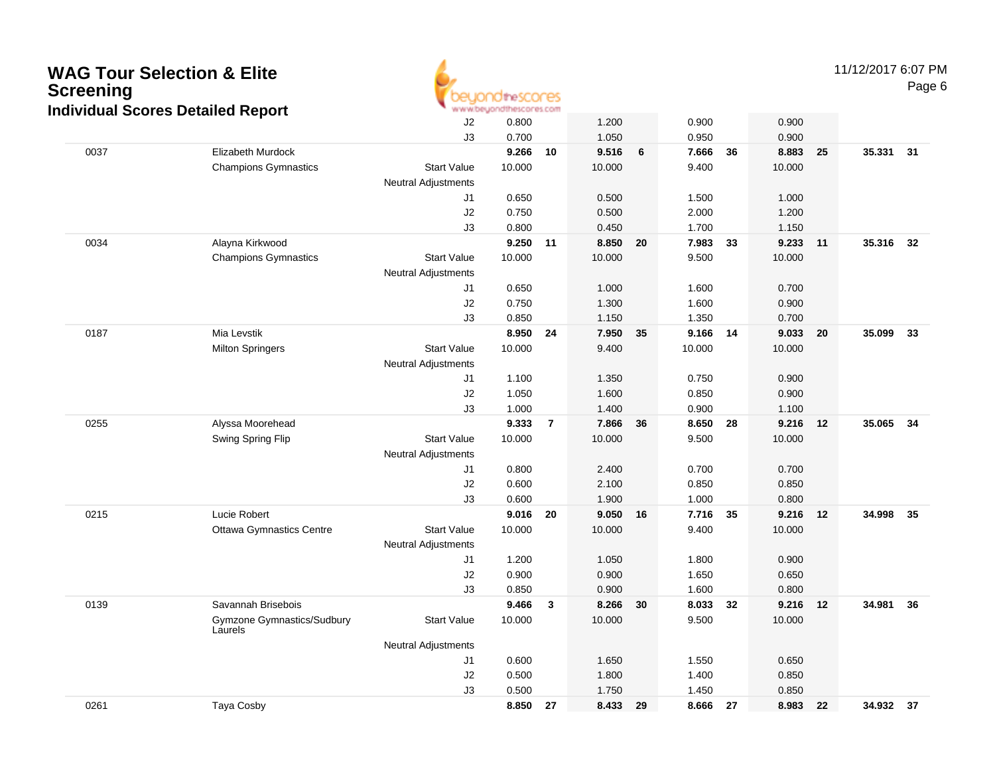

11/12/2017 6:07 PMPage 6

|      | aaar Oooroo Dolanoa Roport            | J2                         | 0.800  |                | 1.200  |    | 0.900    |    | 0.900  |    |           |    |
|------|---------------------------------------|----------------------------|--------|----------------|--------|----|----------|----|--------|----|-----------|----|
|      |                                       | J3                         | 0.700  |                | 1.050  |    | 0.950    |    | 0.900  |    |           |    |
| 0037 | Elizabeth Murdock                     |                            | 9.266  | 10             | 9.516  | 6  | 7.666    | 36 | 8.883  | 25 | 35.331 31 |    |
|      | <b>Champions Gymnastics</b>           | <b>Start Value</b>         | 10.000 |                | 10.000 |    | 9.400    |    | 10.000 |    |           |    |
|      |                                       | <b>Neutral Adjustments</b> |        |                |        |    |          |    |        |    |           |    |
|      |                                       | J1                         | 0.650  |                | 0.500  |    | 1.500    |    | 1.000  |    |           |    |
|      |                                       | J2                         | 0.750  |                | 0.500  |    | 2.000    |    | 1.200  |    |           |    |
|      |                                       | J3                         | 0.800  |                | 0.450  |    | 1.700    |    | 1.150  |    |           |    |
| 0034 | Alayna Kirkwood                       |                            | 9.250  | 11             | 8.850  | 20 | 7.983    | 33 | 9.233  | 11 | 35.316 32 |    |
|      | <b>Champions Gymnastics</b>           | <b>Start Value</b>         | 10.000 |                | 10.000 |    | 9.500    |    | 10.000 |    |           |    |
|      |                                       | <b>Neutral Adjustments</b> |        |                |        |    |          |    |        |    |           |    |
|      |                                       | J1                         | 0.650  |                | 1.000  |    | 1.600    |    | 0.700  |    |           |    |
|      |                                       | J2                         | 0.750  |                | 1.300  |    | 1.600    |    | 0.900  |    |           |    |
|      |                                       | J3                         | 0.850  |                | 1.150  |    | 1.350    |    | 0.700  |    |           |    |
| 0187 | Mia Levstik                           |                            | 8.950  | 24             | 7.950  | 35 | 9.166 14 |    | 9.033  | 20 | 35.099    | 33 |
|      | <b>Milton Springers</b>               | <b>Start Value</b>         | 10.000 |                | 9.400  |    | 10.000   |    | 10.000 |    |           |    |
|      |                                       | Neutral Adjustments        |        |                |        |    |          |    |        |    |           |    |
|      |                                       | J1                         | 1.100  |                | 1.350  |    | 0.750    |    | 0.900  |    |           |    |
|      |                                       | J2                         | 1.050  |                | 1.600  |    | 0.850    |    | 0.900  |    |           |    |
|      |                                       | J3                         | 1.000  |                | 1.400  |    | 0.900    |    | 1.100  |    |           |    |
| 0255 | Alyssa Moorehead                      |                            | 9.333  | $\overline{7}$ | 7.866  | 36 | 8.650    | 28 | 9.216  | 12 | 35.065    | 34 |
|      | Swing Spring Flip                     | <b>Start Value</b>         | 10.000 |                | 10.000 |    | 9.500    |    | 10.000 |    |           |    |
|      |                                       | <b>Neutral Adjustments</b> |        |                |        |    |          |    |        |    |           |    |
|      |                                       | J1                         | 0.800  |                | 2.400  |    | 0.700    |    | 0.700  |    |           |    |
|      |                                       | J2                         | 0.600  |                | 2.100  |    | 0.850    |    | 0.850  |    |           |    |
|      |                                       | J3                         | 0.600  |                | 1.900  |    | 1.000    |    | 0.800  |    |           |    |
| 0215 | Lucie Robert                          |                            | 9.016  | 20             | 9.050  | 16 | 7.716    | 35 | 9.216  | 12 | 34.998    | 35 |
|      | <b>Ottawa Gymnastics Centre</b>       | <b>Start Value</b>         | 10.000 |                | 10.000 |    | 9.400    |    | 10.000 |    |           |    |
|      |                                       | Neutral Adjustments        |        |                |        |    |          |    |        |    |           |    |
|      |                                       | J1                         | 1.200  |                | 1.050  |    | 1.800    |    | 0.900  |    |           |    |
|      |                                       | J2                         | 0.900  |                | 0.900  |    | 1.650    |    | 0.650  |    |           |    |
|      |                                       | J3                         | 0.850  |                | 0.900  |    | 1.600    |    | 0.800  |    |           |    |
| 0139 | Savannah Brisebois                    |                            | 9.466  | 3              | 8.266  | 30 | 8.033 32 |    | 9.216  | 12 | 34.981    | 36 |
|      | Gymzone Gymnastics/Sudbury<br>Laurels | <b>Start Value</b>         | 10.000 |                | 10.000 |    | 9.500    |    | 10.000 |    |           |    |
|      |                                       | <b>Neutral Adjustments</b> |        |                |        |    |          |    |        |    |           |    |
|      |                                       | J1                         | 0.600  |                | 1.650  |    | 1.550    |    | 0.650  |    |           |    |
|      |                                       | J2                         | 0.500  |                | 1.800  |    | 1.400    |    | 0.850  |    |           |    |
|      |                                       | J3                         | 0.500  |                | 1.750  |    | 1.450    |    | 0.850  |    |           |    |
| 0261 | Taya Cosby                            |                            | 8.850  | 27             | 8.433  | 29 | 8.666    | 27 | 8.983  | 22 | 34.932 37 |    |
|      |                                       |                            |        |                |        |    |          |    |        |    |           |    |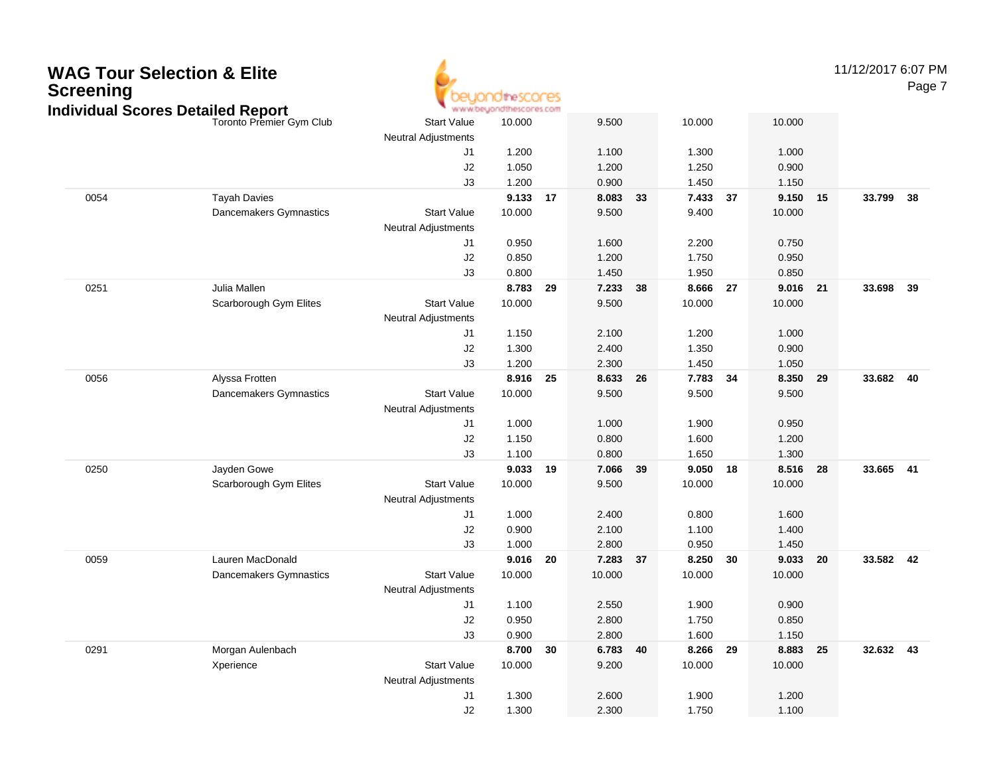

11/12/2017 6:07 PM

Page 7

|      |                                                              |                                                  | www.pegonatuescores.com |    |                |    |                 |     |                 |    |           |    |
|------|--------------------------------------------------------------|--------------------------------------------------|-------------------------|----|----------------|----|-----------------|-----|-----------------|----|-----------|----|
|      | ndɪvɪdual Scores Detaɪled Report<br>Toronto Premier Gym Club | <b>Start Value</b><br><b>Neutral Adjustments</b> | 10.000                  |    | 9.500          |    | 10.000          |     | 10.000          |    |           |    |
|      |                                                              | J1                                               | 1.200                   |    | 1.100          |    | 1.300           |     | 1.000           |    |           |    |
|      |                                                              | J2                                               | 1.050                   |    | 1.200          |    | 1.250           |     | 0.900           |    |           |    |
|      |                                                              | J3                                               | 1.200                   |    | 0.900          |    | 1.450           |     | 1.150           |    |           |    |
| 0054 | <b>Tayah Davies</b>                                          |                                                  | 9.133                   | 17 | 8.083          | 33 | 7.433 37        |     | 9.150           | 15 | 33.799    | 38 |
|      | Dancemakers Gymnastics                                       | <b>Start Value</b>                               | 10.000                  |    | 9.500          |    | 9.400           |     | 10.000          |    |           |    |
|      |                                                              | <b>Neutral Adjustments</b>                       |                         |    |                |    |                 |     |                 |    |           |    |
|      |                                                              | J1                                               | 0.950                   |    | 1.600          |    | 2.200           |     | 0.750           |    |           |    |
|      |                                                              | J2                                               | 0.850                   |    | 1.200          |    | 1.750           |     | 0.950           |    |           |    |
|      |                                                              | J3                                               | 0.800                   |    | 1.450          |    | 1.950           |     | 0.850           |    |           |    |
| 0251 | Julia Mallen                                                 |                                                  | 8.783                   | 29 | 7.233          | 38 | 8.666           | -27 | 9.016           | 21 | 33.698    | 39 |
|      | Scarborough Gym Elites                                       | <b>Start Value</b>                               | 10.000                  |    | 9.500          |    | 10.000          |     | 10.000          |    |           |    |
|      |                                                              | <b>Neutral Adjustments</b>                       |                         |    |                |    |                 |     |                 |    |           |    |
|      |                                                              | J1                                               | 1.150                   |    | 2.100          |    | 1.200           |     | 1.000           |    |           |    |
|      |                                                              | J2                                               | 1.300                   |    | 2.400          |    | 1.350           |     | 0.900           |    |           |    |
|      |                                                              | J3                                               | 1.200                   |    | 2.300          |    | 1.450           |     | 1.050           |    |           |    |
| 0056 | Alyssa Frotten                                               |                                                  | 8.916                   | 25 | 8.633          | 26 | 7.783 34        |     | 8.350           | 29 | 33.682 40 |    |
|      | Dancemakers Gymnastics                                       | <b>Start Value</b>                               | 10.000                  |    | 9.500          |    | 9.500           |     | 9.500           |    |           |    |
|      |                                                              | <b>Neutral Adjustments</b>                       |                         |    |                |    |                 |     |                 |    |           |    |
|      |                                                              | J1                                               | 1.000                   |    | 1.000          |    | 1.900           |     | 0.950           |    |           |    |
|      |                                                              | J2                                               | 1.150                   |    | 0.800          |    | 1.600           |     | 1.200           |    |           |    |
|      |                                                              | J3                                               | 1.100                   |    | 0.800          |    | 1.650           |     | 1.300           |    |           |    |
| 0250 | Jayden Gowe<br>Scarborough Gym Elites                        | <b>Start Value</b>                               | 9.033<br>10.000         | 19 | 7.066<br>9.500 | 39 | 9.050<br>10.000 | 18  | 8.516<br>10.000 | 28 | 33.665 41 |    |
|      |                                                              | <b>Neutral Adjustments</b>                       |                         |    |                |    |                 |     |                 |    |           |    |
|      |                                                              | J1                                               | 1.000                   |    | 2.400          |    | 0.800           |     | 1.600           |    |           |    |
|      |                                                              | J2                                               | 0.900                   |    | 2.100          |    | 1.100           |     | 1.400           |    |           |    |
|      |                                                              | J3                                               | 1.000                   |    | 2.800          |    | 0.950           |     | 1.450           |    |           |    |
| 0059 | Lauren MacDonald                                             |                                                  | 9.016                   | 20 | 7.283          | 37 | 8.250 30        |     | 9.033           | 20 | 33.582 42 |    |
|      | Dancemakers Gymnastics                                       | <b>Start Value</b>                               | 10.000                  |    | 10.000         |    | 10.000          |     | 10.000          |    |           |    |
|      |                                                              | <b>Neutral Adjustments</b>                       |                         |    |                |    |                 |     |                 |    |           |    |
|      |                                                              | J1                                               | 1.100                   |    | 2.550          |    | 1.900           |     | 0.900           |    |           |    |
|      |                                                              | J2                                               | 0.950                   |    | 2.800          |    | 1.750           |     | 0.850           |    |           |    |
|      |                                                              | J3                                               | 0.900                   |    | 2.800          |    | 1.600           |     | 1.150           |    |           |    |
| 0291 | Morgan Aulenbach                                             |                                                  | 8.700                   | 30 | 6.783          | 40 | 8.266           | 29  | 8.883           | 25 | 32.632 43 |    |
|      | Xperience                                                    | <b>Start Value</b>                               | 10.000                  |    | 9.200          |    | 10.000          |     | 10.000          |    |           |    |
|      |                                                              | <b>Neutral Adjustments</b>                       |                         |    |                |    |                 |     |                 |    |           |    |
|      |                                                              | J1                                               | 1.300                   |    | 2.600          |    | 1.900           |     | 1.200           |    |           |    |
|      |                                                              | J2                                               | 1.300                   |    | 2.300          |    | 1.750           |     | 1.100           |    |           |    |